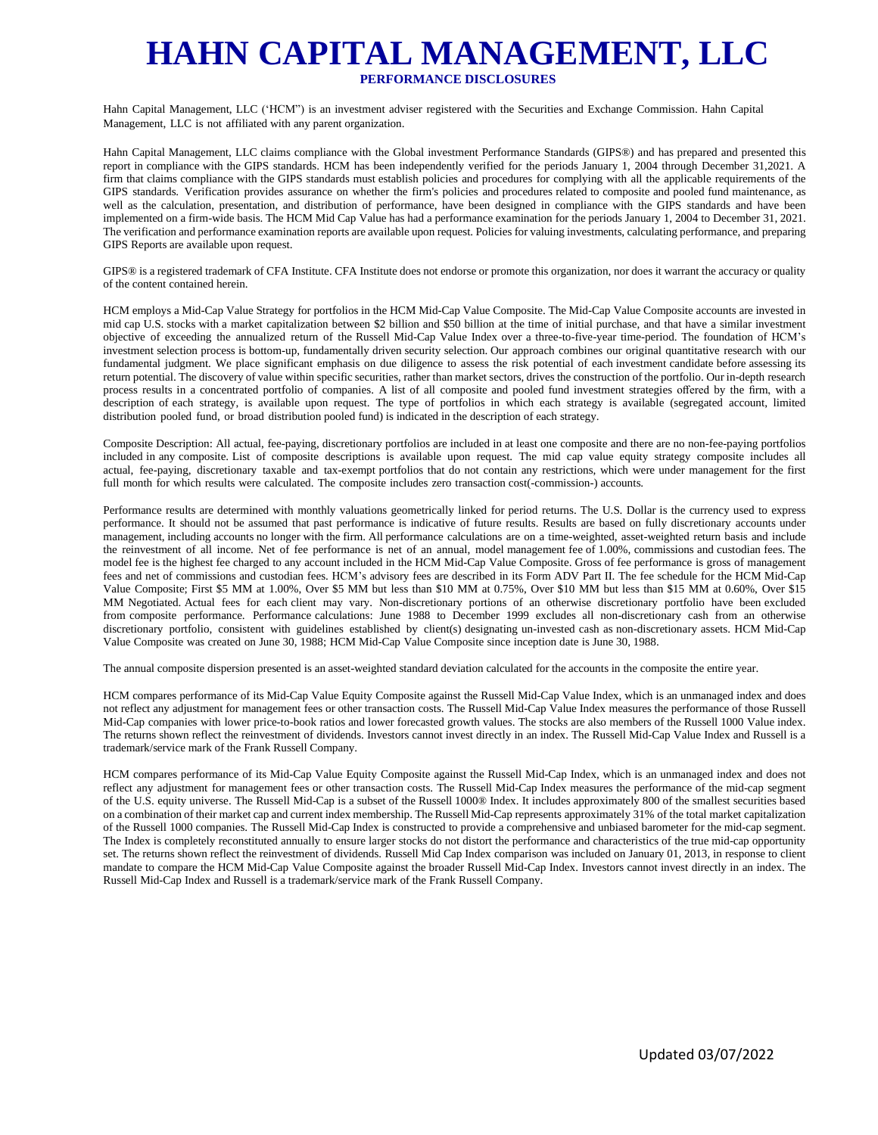## **HAHN CAPITAL MANAGEMENT, LLC**

**PERFORMANCE DISCLOSURES**

Hahn Capital Management, LLC ('HCM") is an investment adviser registered with the Securities and Exchange Commission. Hahn Capital Management, LLC is not affiliated with any parent organization.

Hahn Capital Management, LLC claims compliance with the Global investment Performance Standards (GIPS®) and has prepared and presented this report in compliance with the GIPS standards. HCM has been independently verified for the periods January 1, 2004 through December 31,2021. A firm that claims compliance with the GIPS standards must establish policies and procedures for complying with all the applicable requirements of the GIPS standards. Verification provides assurance on whether the firm's policies and procedures related to composite and pooled fund maintenance, as well as the calculation, presentation, and distribution of performance, have been designed in compliance with the GIPS standards and have been implemented on a firm-wide basis. The HCM Mid Cap Value has had a performance examination for the periods January 1, 2004 to December 31, 2021. The verification and performance examination reports are available upon request. Policies for valuing investments, calculating performance, and preparing GIPS Reports are available upon request.

GIPS® is a registered trademark of CFA Institute. CFA Institute does not endorse or promote this organization, nor does it warrant the accuracy or quality of the content contained herein.

HCM employs a Mid-Cap Value Strategy for portfolios in the HCM Mid-Cap Value Composite. The Mid-Cap Value Composite accounts are invested in mid cap U.S. stocks with a market capitalization between \$2 billion and \$50 billion at the time of initial purchase, and that have a similar investment objective of exceeding the annualized return of the Russell Mid-Cap Value Index over a three-to-five-year time-period. The foundation of HCM's investment selection process is bottom-up, fundamentally driven security selection. Our approach combines our original quantitative research with our fundamental judgment. We place significant emphasis on due diligence to assess the risk potential of each investment candidate before assessing its return potential. The discovery of value within specific securities, rather than market sectors, drives the construction of the portfolio. Our in-depth research process results in a concentrated portfolio of companies. A list of all composite and pooled fund investment strategies offered by the firm, with a description of each strategy, is available upon request. The type of portfolios in which each strategy is available (segregated account, limited distribution pooled fund, or broad distribution pooled fund) is indicated in the description of each strategy.

Composite Description: All actual, fee-paying, discretionary portfolios are included in at least one composite and there are no non-fee-paying portfolios included in any composite. List of composite descriptions is available upon request. The mid cap value equity strategy composite includes all actual, fee-paying, discretionary taxable and tax-exempt portfolios that do not contain any restrictions, which were under management for the first full month for which results were calculated. The composite includes zero transaction cost(-commission-) accounts.

Performance results are determined with monthly valuations geometrically linked for period returns. The U.S. Dollar is the currency used to express performance. It should not be assumed that past performance is indicative of future results. Results are based on fully discretionary accounts under management, including accounts no longer with the firm. All performance calculations are on a time-weighted, asset-weighted return basis and include the reinvestment of all income. Net of fee performance is net of an annual, model management fee of 1.00%, commissions and custodian fees. The model fee is the highest fee charged to any account included in the HCM Mid-Cap Value Composite. Gross of fee performance is gross of management fees and net of commissions and custodian fees. HCM's advisory fees are described in its Form ADV Part II. The fee schedule for the HCM Mid-Cap Value Composite; First \$5 MM at 1.00%, Over \$5 MM but less than \$10 MM at 0.75%, Over \$10 MM but less than \$15 MM at 0.60%, Over \$15 MM Negotiated. Actual fees for each client may vary. Non-discretionary portions of an otherwise discretionary portfolio have been excluded from composite performance. Performance calculations: June 1988 to December 1999 excludes all non-discretionary cash from an otherwise discretionary portfolio, consistent with guidelines established by client(s) designating un-invested cash as non-discretionary assets. HCM Mid-Cap Value Composite was created on June 30, 1988; HCM Mid-Cap Value Composite since inception date is June 30, 1988.

The annual composite dispersion presented is an asset-weighted standard deviation calculated for the accounts in the composite the entire year.

HCM compares performance of its Mid-Cap Value Equity Composite against the Russell Mid-Cap Value Index, which is an unmanaged index and does not reflect any adjustment for management fees or other transaction costs. The Russell Mid-Cap Value Index measures the performance of those Russell Mid-Cap companies with lower price-to-book ratios and lower forecasted growth values. The stocks are also members of the Russell 1000 Value index. The returns shown reflect the reinvestment of dividends. Investors cannot invest directly in an index. The Russell Mid-Cap Value Index and Russell is a trademark/service mark of the Frank Russell Company.

HCM compares performance of its Mid-Cap Value Equity Composite against the Russell Mid-Cap Index, which is an unmanaged index and does not reflect any adjustment for management fees or other transaction costs. The Russell Mid-Cap Index measures the performance of the mid-cap segment of the U.S. equity universe. The Russell Mid-Cap is a subset of the Russell 1000® Index. It includes approximately 800 of the smallest securities based on a combination of their market cap and current index membership. The Russell Mid-Cap represents approximately 31% of the total market capitalization of the Russell 1000 companies. The Russell Mid-Cap Index is constructed to provide a comprehensive and unbiased barometer for the mid-cap segment. The Index is completely reconstituted annually to ensure larger stocks do not distort the performance and characteristics of the true mid-cap opportunity set. The returns shown reflect the reinvestment of dividends. Russell Mid Cap Index comparison was included on January 01, 2013, in response to client mandate to compare the HCM Mid-Cap Value Composite against the broader Russell Mid-Cap Index. Investors cannot invest directly in an index. The Russell Mid-Cap Index and Russell is a trademark/service mark of the Frank Russell Company.